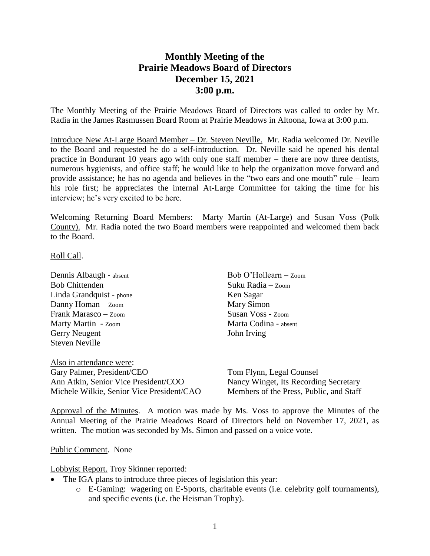## **Monthly Meeting of the Prairie Meadows Board of Directors December 15, 2021 3:00 p.m.**

The Monthly Meeting of the Prairie Meadows Board of Directors was called to order by Mr. Radia in the James Rasmussen Board Room at Prairie Meadows in Altoona, Iowa at 3:00 p.m.

Introduce New At-Large Board Member – Dr. Steven Neville. Mr. Radia welcomed Dr. Neville to the Board and requested he do a self-introduction. Dr. Neville said he opened his dental practice in Bondurant 10 years ago with only one staff member – there are now three dentists, numerous hygienists, and office staff; he would like to help the organization move forward and provide assistance; he has no agenda and believes in the "two ears and one mouth" rule – learn his role first; he appreciates the internal At-Large Committee for taking the time for his interview; he's very excited to be here.

Welcoming Returning Board Members: Marty Martin (At-Large) and Susan Voss (Polk County). Mr. Radia noted the two Board members were reappointed and welcomed them back to the Board.

## Roll Call.

Dennis Albaugh - absent Bob Chittenden Linda Grandquist - phone Danny Homan – Zoom Frank Marasco – Zoom Marty Martin - Zoom Gerry Neugent Steven Neville

Also in attendance were: Gary Palmer, President/CEO Ann Atkin, Senior Vice President/COO Michele Wilkie, Senior Vice President/CAO

Bob O'Hollearn – Zoom Suku Radia – Zoom Ken Sagar Mary Simon Susan Voss - Zoom Marta Codina - absent John Irving

Tom Flynn, Legal Counsel Nancy Winget, Its Recording Secretary Members of the Press, Public, and Staff

Approval of the Minutes. A motion was made by Ms. Voss to approve the Minutes of the Annual Meeting of the Prairie Meadows Board of Directors held on November 17, 2021, as written. The motion was seconded by Ms. Simon and passed on a voice vote.

## Public Comment. None

Lobbyist Report. Troy Skinner reported:

- The IGA plans to introduce three pieces of legislation this year:
	- o E-Gaming: wagering on E-Sports, charitable events (i.e. celebrity golf tournaments), and specific events (i.e. the Heisman Trophy).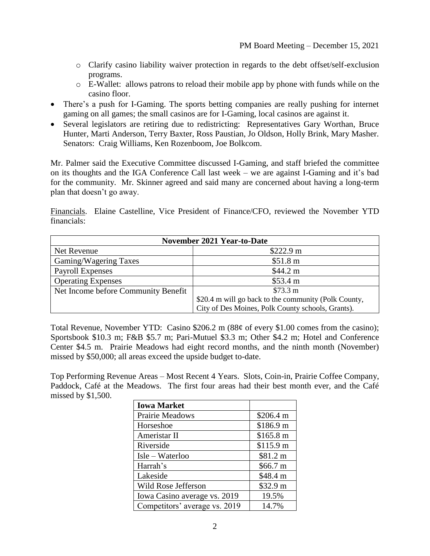- o Clarify casino liability waiver protection in regards to the debt offset/self-exclusion programs.
- o E-Wallet: allows patrons to reload their mobile app by phone with funds while on the casino floor.
- There's a push for I-Gaming. The sports betting companies are really pushing for internet gaming on all games; the small casinos are for I-Gaming, local casinos are against it.
- Several legislators are retiring due to redistricting: Representatives Gary Worthan, Bruce Hunter, Marti Anderson, Terry Baxter, Ross Paustian, Jo Oldson, Holly Brink, Mary Masher. Senators: Craig Williams, Ken Rozenboom, Joe Bolkcom.

Mr. Palmer said the Executive Committee discussed I-Gaming, and staff briefed the committee on its thoughts and the IGA Conference Call last week – we are against I-Gaming and it's bad for the community. Mr. Skinner agreed and said many are concerned about having a long-term plan that doesn't go away.

Financials. Elaine Castelline, Vice President of Finance/CFO, reviewed the November YTD financials:

| <b>November 2021 Year-to-Date</b>   |                                                      |  |
|-------------------------------------|------------------------------------------------------|--|
| Net Revenue                         | \$222.9 m                                            |  |
| Gaming/Wagering Taxes               | \$51.8 m                                             |  |
| <b>Payroll Expenses</b>             | \$44.2 m                                             |  |
| <b>Operating Expenses</b>           | \$53.4 m                                             |  |
| Net Income before Community Benefit | \$73.3 m                                             |  |
|                                     | \$20.4 m will go back to the community (Polk County, |  |
|                                     | City of Des Moines, Polk County schools, Grants).    |  |

Total Revenue, November YTD: Casino \$206.2 m (88¢ of every \$1.00 comes from the casino); Sportsbook \$10.3 m; F&B \$5.7 m; Pari-Mutuel \$3.3 m; Other \$4.2 m; Hotel and Conference Center \$4.5 m. Prairie Meadows had eight record months, and the ninth month (November) missed by \$50,000; all areas exceed the upside budget to-date.

Top Performing Revenue Areas – Most Recent 4 Years. Slots, Coin-in, Prairie Coffee Company, Paddock, Café at the Meadows. The first four areas had their best month ever, and the Café missed by \$1,500.

| <b>Iowa Market</b>            |           |
|-------------------------------|-----------|
| Prairie Meadows               | \$206.4 m |
| Horseshoe                     | \$186.9 m |
| Ameristar II                  | \$165.8 m |
| Riverside                     | \$115.9 m |
| Isle – Waterloo               | \$81.2 m  |
| Harrah's                      | \$66.7 m  |
| Lakeside                      | \$48.4 m  |
| Wild Rose Jefferson           | \$32.9 m  |
| Iowa Casino average vs. 2019  | 19.5%     |
| Competitors' average vs. 2019 | 14.7%     |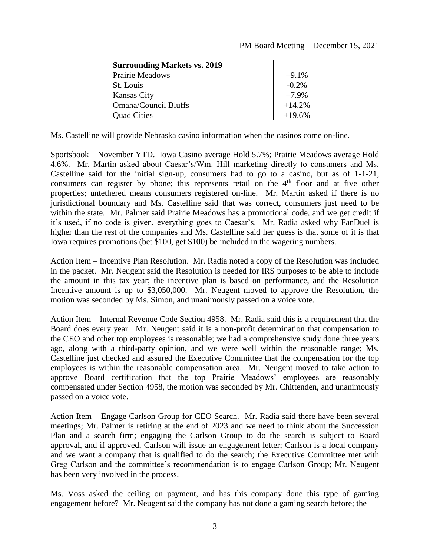| <b>Surrounding Markets vs. 2019</b> |          |
|-------------------------------------|----------|
| Prairie Meadows                     | $+9.1%$  |
| St. Louis                           | $-0.2\%$ |
| <b>Kansas City</b>                  | $+7.9%$  |
| <b>Omaha/Council Bluffs</b>         | $+14.2%$ |
| <b>Quad Cities</b>                  | $+19.6%$ |

Ms. Castelline will provide Nebraska casino information when the casinos come on-line.

Sportsbook – November YTD. Iowa Casino average Hold 5.7%; Prairie Meadows average Hold 4.6%. Mr. Martin asked about Caesar's/Wm. Hill marketing directly to consumers and Ms. Castelline said for the initial sign-up, consumers had to go to a casino, but as of 1-1-21, consumers can register by phone; this represents retail on the 4<sup>th</sup> floor and at five other properties; untethered means consumers registered on-line. Mr. Martin asked if there is no jurisdictional boundary and Ms. Castelline said that was correct, consumers just need to be within the state. Mr. Palmer said Prairie Meadows has a promotional code, and we get credit if it's used, if no code is given, everything goes to Caesar's. Mr. Radia asked why FanDuel is higher than the rest of the companies and Ms. Castelline said her guess is that some of it is that Iowa requires promotions (bet \$100, get \$100) be included in the wagering numbers.

Action Item – Incentive Plan Resolution. Mr. Radia noted a copy of the Resolution was included in the packet. Mr. Neugent said the Resolution is needed for IRS purposes to be able to include the amount in this tax year; the incentive plan is based on performance, and the Resolution Incentive amount is up to \$3,050,000. Mr. Neugent moved to approve the Resolution, the motion was seconded by Ms. Simon, and unanimously passed on a voice vote.

Action Item – Internal Revenue Code Section 4958. Mr. Radia said this is a requirement that the Board does every year. Mr. Neugent said it is a non-profit determination that compensation to the CEO and other top employees is reasonable; we had a comprehensive study done three years ago, along with a third-party opinion, and we were well within the reasonable range; Ms. Castelline just checked and assured the Executive Committee that the compensation for the top employees is within the reasonable compensation area. Mr. Neugent moved to take action to approve Board certification that the top Prairie Meadows' employees are reasonably compensated under Section 4958, the motion was seconded by Mr. Chittenden, and unanimously passed on a voice vote.

Action Item – Engage Carlson Group for CEO Search. Mr. Radia said there have been several meetings; Mr. Palmer is retiring at the end of 2023 and we need to think about the Succession Plan and a search firm; engaging the Carlson Group to do the search is subject to Board approval, and if approved, Carlson will issue an engagement letter; Carlson is a local company and we want a company that is qualified to do the search; the Executive Committee met with Greg Carlson and the committee's recommendation is to engage Carlson Group; Mr. Neugent has been very involved in the process.

Ms. Voss asked the ceiling on payment, and has this company done this type of gaming engagement before? Mr. Neugent said the company has not done a gaming search before; the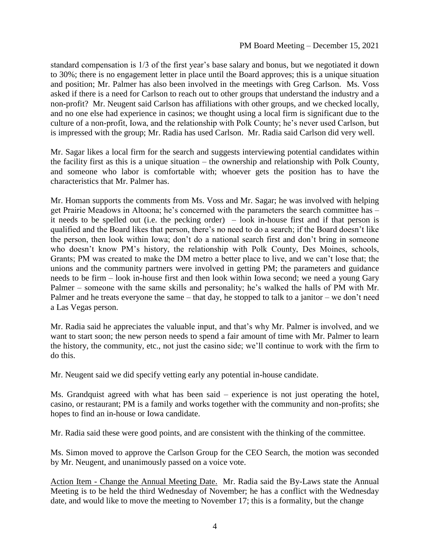standard compensation is 1/3 of the first year's base salary and bonus, but we negotiated it down to 30%; there is no engagement letter in place until the Board approves; this is a unique situation and position; Mr. Palmer has also been involved in the meetings with Greg Carlson. Ms. Voss asked if there is a need for Carlson to reach out to other groups that understand the industry and a non-profit? Mr. Neugent said Carlson has affiliations with other groups, and we checked locally, and no one else had experience in casinos; we thought using a local firm is significant due to the culture of a non-profit, Iowa, and the relationship with Polk County; he's never used Carlson, but is impressed with the group; Mr. Radia has used Carlson. Mr. Radia said Carlson did very well.

Mr. Sagar likes a local firm for the search and suggests interviewing potential candidates within the facility first as this is a unique situation – the ownership and relationship with Polk County, and someone who labor is comfortable with; whoever gets the position has to have the characteristics that Mr. Palmer has.

Mr. Homan supports the comments from Ms. Voss and Mr. Sagar; he was involved with helping get Prairie Meadows in Altoona; he's concerned with the parameters the search committee has – it needs to be spelled out (i.e. the pecking order) – look in-house first and if that person is qualified and the Board likes that person, there's no need to do a search; if the Board doesn't like the person, then look within Iowa; don't do a national search first and don't bring in someone who doesn't know PM's history, the relationship with Polk County, Des Moines, schools, Grants; PM was created to make the DM metro a better place to live, and we can't lose that; the unions and the community partners were involved in getting PM; the parameters and guidance needs to be firm – look in-house first and then look within Iowa second; we need a young Gary Palmer – someone with the same skills and personality; he's walked the halls of PM with Mr. Palmer and he treats everyone the same – that day, he stopped to talk to a janitor – we don't need a Las Vegas person.

Mr. Radia said he appreciates the valuable input, and that's why Mr. Palmer is involved, and we want to start soon; the new person needs to spend a fair amount of time with Mr. Palmer to learn the history, the community, etc., not just the casino side; we'll continue to work with the firm to do this.

Mr. Neugent said we did specify vetting early any potential in-house candidate.

Ms. Grandquist agreed with what has been said – experience is not just operating the hotel, casino, or restaurant; PM is a family and works together with the community and non-profits; she hopes to find an in-house or Iowa candidate.

Mr. Radia said these were good points, and are consistent with the thinking of the committee.

Ms. Simon moved to approve the Carlson Group for the CEO Search, the motion was seconded by Mr. Neugent, and unanimously passed on a voice vote.

Action Item - Change the Annual Meeting Date. Mr. Radia said the By-Laws state the Annual Meeting is to be held the third Wednesday of November; he has a conflict with the Wednesday date, and would like to move the meeting to November 17; this is a formality, but the change